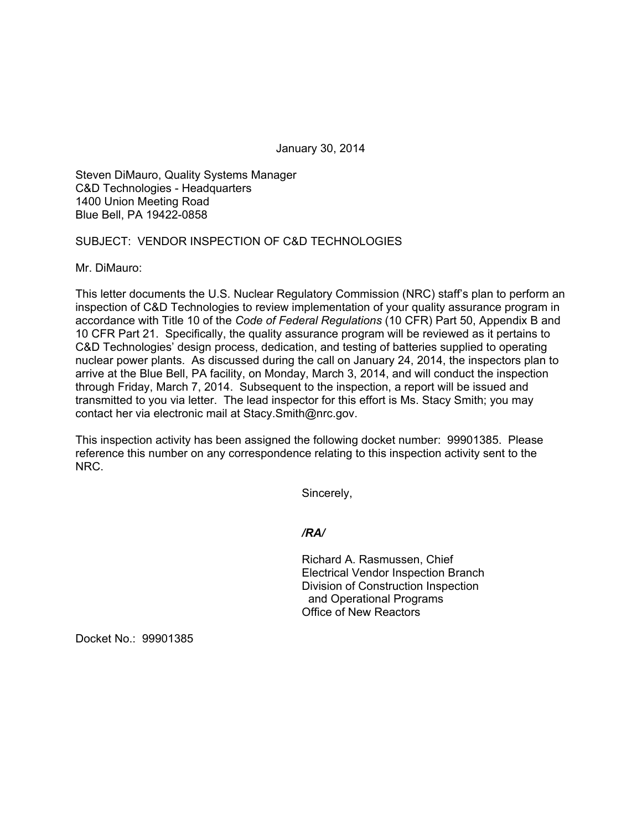January 30, 2014

Steven DiMauro, Quality Systems Manager C&D Technologies - Headquarters 1400 Union Meeting Road Blue Bell, PA 19422-0858

## SUBJECT: VENDOR INSPECTION OF C&D TECHNOLOGIES

Mr. DiMauro:

This letter documents the U.S. Nuclear Regulatory Commission (NRC) staff's plan to perform an inspection of C&D Technologies to review implementation of your quality assurance program in accordance with Title 10 of the *Code of Federal Regulations* (10 CFR) Part 50, Appendix B and 10 CFR Part 21. Specifically, the quality assurance program will be reviewed as it pertains to C&D Technologies' design process, dedication, and testing of batteries supplied to operating nuclear power plants. As discussed during the call on January 24, 2014, the inspectors plan to arrive at the Blue Bell, PA facility, on Monday, March 3, 2014, and will conduct the inspection through Friday, March 7, 2014. Subsequent to the inspection, a report will be issued and transmitted to you via letter. The lead inspector for this effort is Ms. Stacy Smith; you may contact her via electronic mail at Stacy.Smith@nrc.gov.

This inspection activity has been assigned the following docket number: 99901385. Please reference this number on any correspondence relating to this inspection activity sent to the NRC.

Sincerely,

*/RA/* 

Richard A. Rasmussen, Chief Electrical Vendor Inspection Branch Division of Construction Inspection and Operational Programs Office of New Reactors

Docket No.: 99901385